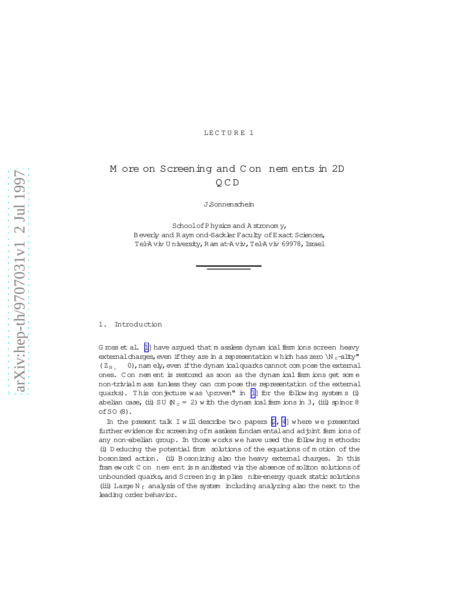## LECTURE 1

# M ore on Screening and C on nem ents in 2D Q C D

J.Sonnenschein

School of Physics and A stronom y, Beverly and R aym ond-Sackler Faculty of Exact Sciences, Tel-A viv U niversity, R am at-A viv, Tel-A viv 69978, Israel

### 1. Introduction

G ross et al. [\[1\]](#page-11-0) have argued that m assless dynam ical ferm ions screen heavy external charges, even if they are in a representation w hich has zero  $\ln c$ -ality"  $(Z_{N,c} = 0)$ , nam ely, even if the dynam icalquarks cannot com pose the external ones. C on nem ent is restored as soon as the dynam ical ferm ions get som e non-trivialm ass (unless they can com pose the representation ofthe external quarks). This conjecture was \proven" in  $[1]$  for the following system s (i) abelian case, (ii) SU  $(N_c = 2)$  w ith the dynam ical ferm ions in 3, (iii) spinor 8 ofSO (8).

In the present talk I w ill describe two papers  $[2, 4]$  $[2, 4]$  $[2, 4]$  where we presented further evidence for screening of m assless fundam ental and adjoint ferm ions of any non-abelian group. In those works we have used the following m ethods: (i) D educing the potential from solutions of the equations of m otion of the bosonized action. (ii) Bosonizing also the heavy external charges. In this fram ework C on nem ent is m anifested via the absence of soliton solutions of unbounded quarks, and Screening im plies nite-energy quark static solutions (iii) Large N  $_f$  analysis of the system including analyzing also the next to the leading order behavior.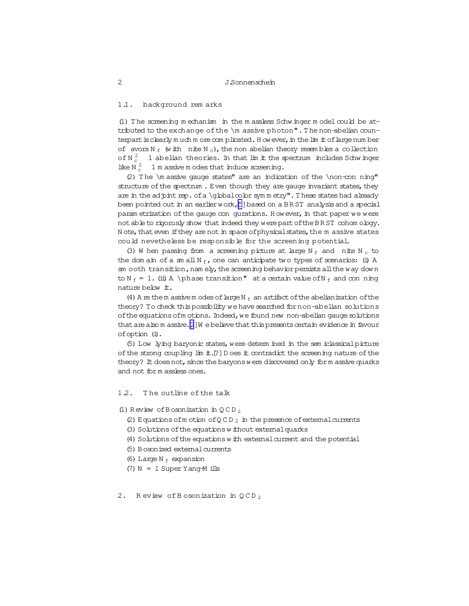#### 1.1. background rem arks

(1) The screening m echanism in the m assless Schw inger m odel could be attributed to the exchange of the \m assive photon". The non-abelian counterpart is clearly m uch m ore com plicated. H owever, in the lim it of large num ber of avors  $N_f$  (with nite  $N_c$ ), the non abelian theory resembles a collection of  $N_c^2$  1 abelian theories. In that lim it the spectrum includes Schwinger like N $_{c}^{2}$ 1 m assive m odes that induce screening.

(2) The  $\mathbb{Q}$  assive gauge states" are an indication of the  $\nonumber$  non-con ning" structure of the spectrum . Even though they are gauge invariant states, they are in the adjoint rep. of a \qlobalcolor sym m etry". These states had already been pointed out in an earlierwork, [5] based on a BR ST analysis and a special param etrization of the gauge con gurations. However, in that paper we were not able to rigorusly show that indeed they were part of the BRST cohom ology. N ote, that even if they are not in space of physical states, the m assive states could nevetheless be responsible for the screening potential.

(3) W hen passing from a screening picture at large N  $_f$  and nite N  $_c$  to the dom ain of a sm all N  $_f$ , one can anticipate two types of scenarios: (i) A sm ooth transition, nam ely, the screening behavior persists all the way down to N  $_f$  = 1. (ii) A \phase transition" at a certain value of N  $_f$  and con ning nature below it.

(4) A rethem assivem odes of large N  $_f$  an artifact of the abelianization of the theory? To check this possibility we have searched for non-abelian solutions of the equations of motions. Indeed, we found new non-abelian gauge solutions that are also m assive. $[2]W$  e believe that this presents certain evidence in favour ofoption (i).

(5) Low lying baryonic states,were determ ined in the sem iclassicalpicture of the strong coupling  $\lim_{n \to \infty}$  if  $\lim_{n \to \infty}$  is the contradict the screening nature of the theory? It does not, since the baryons were discovered only form assive quarks and not form assless ones.

### 1.2. T he outline of the talk

- (1) Review of Bosonization in  $QCD_2$ 
	- (2) Equations of m otion of Q C D  $_2$  in the presence of external currents
	- (3) Solutions of the equations w ithout external quarks
	- (4) Solutions of the equations w ith external current and the potential
	- (5) Bosonized externalcurrents
	- (6) Large N  $_f$  expansion
	- $(7)$  N = 1 Super Yang-M ills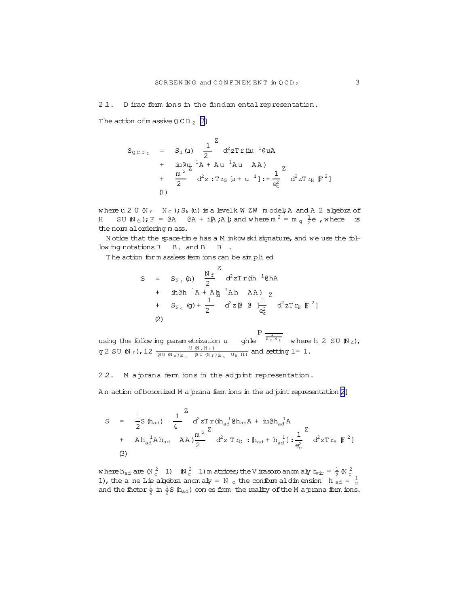<span id="page-2-0"></span>2.1. D irac ferm ions in the fundam ental representation.

The action of m assive  $QCD_2$  [\[7\]](#page-11-0)

$$
S_{QCD_2} = S_1(u) \frac{1}{2} d^2 z Tr(iu^{-1} du)
$$
  
+ 
$$
\frac{iu\theta u}{2} {}^{1}A + Au^{-1}Au
$$
 AA)  
+ 
$$
\frac{m^2}{2} d^2 z : Tr_G [u + u^{-1}] : + \frac{1}{e_c^2} d^2 z Tr_H [F^2]
$$
  
(1)

where u 2 U  $(N_f - N_c)$ ; S<sub>k</sub>(u) is a levelk W ZW m odel; A and A 2 algebra of H SU (N<sub>C</sub>); F = @A  $(A + iA; A)$ ; and where  $m^2 = m_q \frac{1}{2}e$ , where is the norm alordering m ass.

N otice that the space-time has a M inkow ski signature, and we use the follow ing notations  $B$   $B_+$  and  $B$   $B_-$ .

The action form assless ferm ions can be simplied

$$
S = S_{N_f} (h) \frac{N_f}{2}^Z d^2 z Tr(ih^{-1} \theta h A + ih \theta h^{-1} A + A \frac{h}{2}^1 A h A A) z + S_{N_c} (g) + \frac{1}{2} d^2 z [ \theta \theta] \frac{1}{e_c^2} d^2 z Tr_H [F^2]
$$
  
(2)

using the follow ing param etrization u ghle  $P_i^{\frac{4}{N_c N_f}}$  where h 2 SU (N<sub>c</sub>),  $g$  2 SU  $(N_f)$ , 12  $\frac{U(N_c N_f)}{S U(N_c) k_f}$  $\frac{U(N_c N_f)}{S U(N_c)_{N_f}}$   $\frac{U(N_c N_f)}{S U(N_f)_{N_c}}$   $\frac{U_B(N_f)}{U_B(N_f)}$  and setting  $l=1$ .

2.2. M a prana ferm ions in the ad pint representation.

An action of bosonized M a prana ferm ions in the ad pint representation [\[2\]](#page-11-0)

$$
S = \frac{1}{2} S (\hat{h}_{ad}) - \frac{1}{4} \alpha^{2} z Tr(i \hat{h}_{ad}^{1} \hat{\theta} \hat{h}_{ad} A + i \mu \hat{\theta} \hat{h}_{ad}^{1} A
$$
  
+  $A h_{ad}^{1} A h_{ad} A A \mu \frac{m^{2}}{2} \alpha^{2} z Tr_{G} : [h_{ad} + h_{ad}^{1}] : \frac{1}{e_{c}^{2}} \alpha^{2} z Tr_{H} [F^{2}]$   
(3)

where  $h_{ad}$  are  $(N_c^2 - 1)$   $(N_c^2 - 1)$  m atrices; the V irasoro anom aly  $c_{\text{vir}} = \frac{1}{2}$   $(N_c^2 - 1)$ , the ane Lie algebra anom aly = N <sub>c</sub> the conform aldimension h <sub>ad</sub> =  $\frac{1}{2}$ and the factor  $\frac{1}{2}$  in  $\frac{1}{2}S$  (h<sub>ad</sub>) com es from the reality of the M a jorana ferm ions.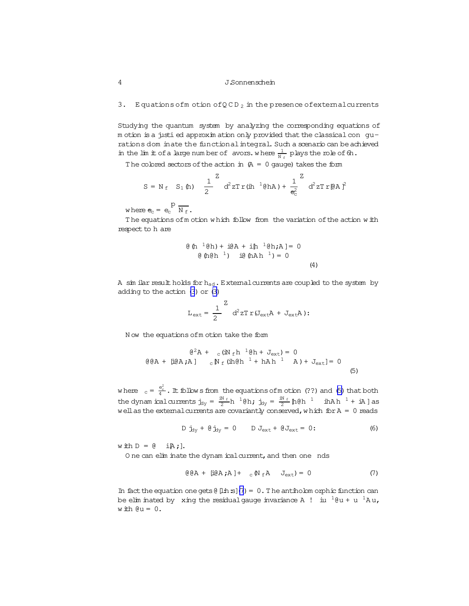#### <span id="page-3-0"></span>Equations of  $m$  otion of QCD<sub>2</sub> in the presence of external currents  $3.$

Studying the quantum system by analyzing the corresponding equations of m otion is a justi ed approxim ation only provided that the classical con gurations dom inate the functional integral. Such a scenario can be achieved in the lim it of a large number of avors. where  $\frac{1}{N_e}$  plays the role of  $\theta$ .

The colored sectors of the action in  $(A = 0$  gauge) takes the form

$$
S = N_{f} S_{1} (h) \frac{1}{2}^{Z} d^{2} z Tr(ih^{-1} (\theta h A) + \frac{1}{e_{c}^{2}}^{Z} d^{2} z Tr(\theta A)^{2}
$$

where  $e_c = e_c \frac{p}{N_f}$ .

The equations of motion which follow from the variation of the action with respect to h are

$$
\begin{array}{lll}\n\text{(a) } & \text{(b) } & \text{(c) } & \text{(d) } \\
\text{(e) } & \text{(f) } & \text{(h) } & \text{(h) } \\
\text{(f) } & \text{(g) } & \text{(h) } & \text{(h) } \\
\text{(h) } & \text{(i) } & \text{(i) } & \text{(ii) } \\
\text{(ii) } & \text{(iii) } & \text{(iv) } & \text{(iv) } \\
\text{(iv) } & \text{(v) } & \text{(v) } & \text{(v) } \\
\text{(v) } & \text{(v) } & \text{(v) } & \text{(v) } \\
\text{(v) } & \text{(v) } & \text{(v) } & \text{(v) } & \text{(v) } \\
\text{(v) } & \text{(v) } & \text{(v) } & \text{(v) } & \text{(v) } & \text{(v) } \\
\text{(v) } & \text{(v) } & \text{(v) } & \text{(v) } & \text{(v) } & \text{(v) } & \text{(v) } & \text{(v) } & \text{(v) } \\
\text{(v) } & \text{(v) } & \text{(v) } & \text{(v) } & \text{(v) } & \text{(v) } & \text{(v) } & \text{(v) } & \text{(v) } & \text{(v) } & \text{(v) } & \text{(v) } & \text{(v) } & \text{(v) } & \text{(v) } & \text{(v) } & \text{(v) } & \text{(v) } & \text{(v) } & \text{(v) } & \text{(v) } & \text{(v) } & \text{(v) } & \text{(v) } & \text{(v) } & \text{(v) } & \text{(v) } & \text{(v) } & \text{(v) } & \text{(v) } & \text{(v) } & \text{(v) } & \text{(v) } & \text{(v) } & \text{(v) } & \text{(v) } & \text{(v) } & \text{(v) }
$$

A sim ilar result holds for h<sub>ad</sub>. External currents are coupled to the system by adding to the action  $(3)$  or  $(3)$ 

$$
L_{ext} = \frac{1}{2} \int d^2 z T r (J_{ext}A + J_{ext}A) \, .
$$

Now the equations of motion take the form

$$
(\mathbf{e}^{2} \mathbf{A} + \mathbf{e} (\mathbf{i} \mathbf{N}_{f} \mathbf{h}^{-1} \mathbf{e} \mathbf{h} + \mathbf{J}_{ext}) = 0
$$
  

$$
(\mathbf{e} \mathbf{A} + \mathbf{e} (\mathbf{i} \mathbf{A} \mathbf{A}) - \mathbf{e} \mathbf{N}_{f} (\mathbf{i} \mathbf{h} \mathbf{e} \mathbf{h}^{-1} + \mathbf{h} \mathbf{A} \mathbf{h}^{-1} - \mathbf{A}) + \mathbf{J}_{ext} = 0
$$
 (5)

where  $c = \frac{e_0^2}{4}$ . It follows from the equations of m otion (??) and (5) that both the dynamical currents  $\dot{L}_{1y} = \frac{iN_f}{2} h^{-1} (\theta h; \dot{L}_{1y} = \frac{iN_f}{2} h (\theta h^{-1} - i h A) h^{-1} + iA \cos \theta$ well as the external currents are covariantly conserved, which for  $A = 0$  reads

$$
D \dot{J}_{\text{dy}} + \theta \dot{J}_{\text{dy}} = 0 \qquad D J_{\text{ext}} + \theta J_{\text{ext}} = 0 \tag{6}
$$

with  $D = \emptyset$  i $A$ ; ].

One can elim inate the dynam ical current, and then one nds

$$
\Theta(A + [\text{i}\Theta A; A] + \,_{\text{c}} \Phi \cdot A \, J_{\text{ext}}) = 0 \tag{7}
$$

In fact the equation one gets  $(1)$  =  $(7)$  = 0. The antiholom orphic function can be elim inated by xing the residual gauge invariance A ! iu  ${}^{1}\theta u + u {}^{1}Au$ ,  $w$  ith  $\theta u = 0$ .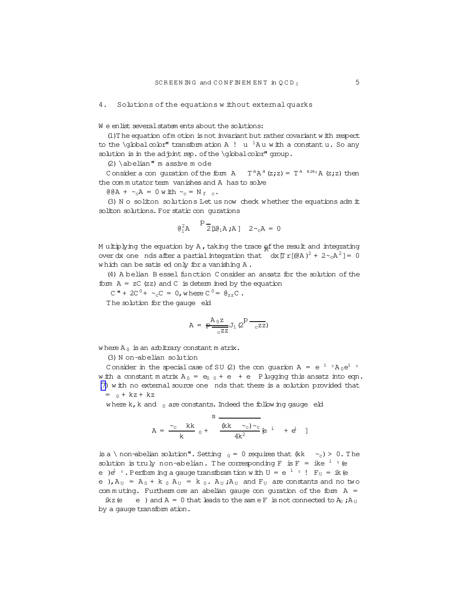#### 4. Solutions of the equations w ithout externalquarks

W e enlist several statem ents about the solutions:

(1) The equation of m otion is not invariant but rather covariant w ith respect to the \globalcolor" transform ation A !  $\,$  u  $^{-1}$ A u with a constant u. So any solution is in the adjoint rep. of the  $\delta$ bbalcolor" group.

(2)\abelian" m assive m ode

Consider a con guration of the form  $A$   $T^aA^a(z;z) = T^{a-a;a_0}A(z;z)$  then the com m utator term vanishes and A has to solve

 $@BA + \sim_c A = 0$  w ith  $\sim_c = N_f$  c.

(3) N o soliton solutions Let us now check w hether the equations adm it soliton solutions. For static con qurations

$$
\theta_1^2 A
$$
  $\stackrel{p-}{2} \stackrel{...}{\mu} \theta_1 A ; A ]$   $2 \sim_c A = 0$ 

M ultiplying the equation by A, taking the trace  $\frac{1}{2}$  and integrating over dx one nds after a partial integration that  $\int dx [T r [(dA)^2 + 2 \sim cA^2] = 0$ w hich can be satised only for a vanishing A.

(4) A belian B essel function C onsider an ansatz for the solution of the form  $A = zC$  (zz) and  $C$  is determ ined by the equation

 $C'' + 2C^0 + \sim_C C = 0$ , where  $C^0 = \mathfrak{g}_{zz}C$ .

The solution for the gauge eld

$$
\mathtt{A} \, = \, \frac{\mathtt{A}_{0} \mathtt{z}}{\mathtt{e}^{z \mathtt{z}}} \mathtt{J}_{1} \, \text{\textsf{Q}}^{p} \, \frac{}{\mathtt{c}^{z \mathtt{z}}} \text{\textsf{)}
$$

where  $A_0$  is an arbitrary constant m atrix.

(3) N on-abelian solution

Consider in the special case of SU (2) the conguarion A = e  $^{\rm i}$   $^{\rm o}$  A<sub>0</sub>e $^{\rm i}$   $^{\rm o}$ w ith a constant m atrix  $A_0 = e_0 + e + e$  P lugging this ansatz into eqn. [\(7\)](#page-3-0) with no external source one nds that there is a solution provided that  $= 0 + kz + kz$ 

where  $k, k$  and  $0$  are constants. Indeed the follow ing gauge eld s

$$
A = \frac{c_c}{k} \frac{k k}{0} + \frac{k k}{4k^2} \epsilon^{i} + \epsilon^{i}
$$

is a \ non-abelian solution". Setting  $_0 = 0$  requires that  $(kk \sim_c) > 0$ . The solution is truly non-abelian. The corresponding  $F$  is  $F = ike^{-i\theta}$  (e e ) $e^i$   $\cdot$  . Perform ing a gauge transforam tion with U = e  $^i$   $\cdot$  !  $\mathrm{F}_\mathrm{U}$  = ik (e e ),  $A_U = A_0 + k_0 A_U = k_0$ .  $A_U$ ;  $A_U$  and  $F_U$  are constants and no two com m uting. Furtherm ore an abelian gauge con guration of the form  $A =$ 

ikz (e e ) and  $A = 0$  that leads to the same F is not connected to  $A_U$ ;  $A_U$ by a gauge transform ation.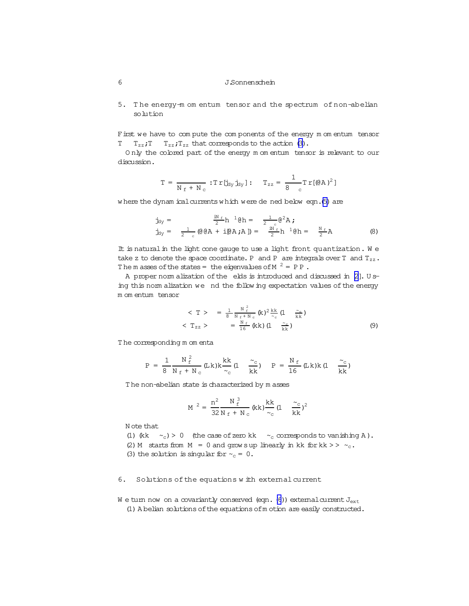5. T he energy-m om entum tensor and the spectrum of non-abelian solution

First we have to compute the components of the energy m om entum tensor  $T = T_{zz}$ ;  $T = T_{zz}$ ;  $T_{zz}$  that corresponds to the action [\(3\)](#page-2-0).

O nly the colored part of the energy m om entum tensor is relevant to our discussion.

$$
T\,=\,\frac{}{N_{\,f}\,+\,N_{\,c}}\,:T\,r\,[j_{\text{dy}}\,j_{\text{dy}}\,]\,: \hspace{5mm} T_{z\,z}\,=\,\frac{1}{8\ \ \, _c}T\,r\,[(@A\,)^2\,]
$$

where the dynam icalcurrents which were de ned below eqn.[\(5\)](#page-3-0) are

$$
\begin{array}{rcl}\n\dot{\mathbf{J}}_{\text{1Y}} &=& \frac{\text{IN } \varepsilon}{2} \text{h} \quad \, ^1\mathbf{\Theta} \text{h} = & \frac{1}{2} \cdot \mathbf{\Theta}^2 \text{A} \; \mathbf{\mathbf{\dot{y}}} \\
\dot{\mathbf{J}}_{\text{2Y}} &=& \frac{1}{2} \cdot \mathbf{\Theta} \mathbf{\Theta} \text{A} + \text{I} \mathbf{\Theta} \text{A} \; \mathbf{\dot{z}} \text{A} \; \mathbf{J} = & \frac{\text{IN } \varepsilon}{2} \text{h} \quad ^1\mathbf{\Theta} \text{h} = & \frac{\text{N } \varepsilon}{2} \text{A}\n\end{array} \tag{8}
$$

It is natural in the light cone gauge to use a light front quantization. We take z to denote the space coordinate. P and P are integrals over T and  $T_{zz}$ . The m asses of the states = the eigenvalues of M  $^2$  = PP.

A proper norm alization of the elds is introduced and discussed in  $[2]$ . U sing this norm alization we nd the following expectation values of the energy m om entum tensor

$$
\langle T \rangle = \frac{1}{8} \frac{N_{f}^{2}}{N_{f} + N_{c}} (k)^{2} \frac{k k}{\sim_{c}} (1 - \frac{\sim_{c}}{k k})
$$
  

$$
\langle T_{zz} \rangle = \frac{N_{f}}{16} (k k) (1 - \frac{\sim_{c}}{k k})
$$
 (9)

T he corresponding m om enta

$$
P = \frac{1}{8} \frac{N_{f}^{2}}{N_{f} + N_{c}} (L k) k \frac{k k}{\sim_{c}} (1 - \frac{\sim_{c}}{k k}) \quad P = \frac{N_{f}}{16} (L k) k (1 - \frac{\sim_{c}}{k k})
$$

T he non-abelian state is characterized by m asses

$$
M^{2} = \frac{n^{2}}{32} \frac{N_{f}^{3}}{N_{f} + N_{c}} (kk) \frac{kk}{\sim_{c}} (1 - \frac{\sim_{c}}{kk})^{2}
$$

N ote that

(1) (kk  $\sim_c$ ) > 0 (the case of zero kk  $\sim_c$  corresponds to vanishing A).

(2) M starts from  $M = 0$  and grow sup linearly in kk for kk >>  $\sim_c$ .

(3) the solution is singular for  $\sim_c = 0$ .

### 6. Solutions of the equations w ith external current

W e turn now on a covariantly conserved (eqn. [\(6](#page-3-0))) external current  $J_{ext}$ (1) A belian solutionsofthe equations ofm otion are easily constructed.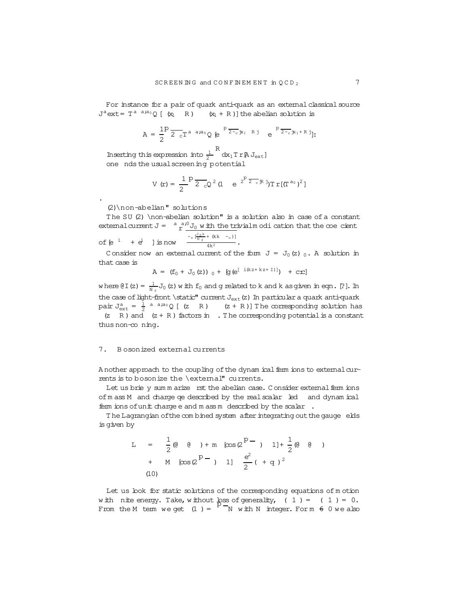<span id="page-6-0"></span>For instance for a pair of quark anti-quark as an external classical source  $J^a$  ext =  $T^a$   $a^{a}a_0$  Q [ (x<sub>1</sub> R ) (x<sub>1</sub> + R )] the abelian solution is

$$
A = \frac{1}{2} P \frac{}{2\, c} T^{a\, a\, ;a_0} Q \, \, \textrm{e}^{-\frac{P}{2\, \textrm{e}} \, \textrm{i} x_1\ \ \textrm{R} \, j} \quad \textrm{e}^{-\frac{P}{2\, \textrm{e}} \, \textrm{i} x_1 + \, \textrm{R} \, j}];
$$

Inserting this expression into  $\frac{1}{2}$ R<br>dx<sub>1</sub>Tr@J<sub>ext</sub>] one nds the usualscreening potential

$$
V(r) = \frac{1}{2} P \frac{1}{2} \int_{cQ}^{c} (1 - e^{-2P \frac{1}{2} \int_{cQ}^{cQ} \ln |T|} (T^{a_0})^2)
$$

(2)\non-abelian" solutions

.

The SU (2) \non-abelian solution" is a solution also in case of a constant external current  $J = \int_a^a \frac{a^2}{2} J_0 w \, dt$  the trivialm odi cation that the coecient of [e  $^{i}$  +  $e^{i}$  ] is now  $\frac{C_{c} [\frac{J_{0}k}{N_{f}} + (kk - c_{c})]}{4k^{2}}$ .

C onsider now an external current of the form  $J = J_0(z)$  0. A solution in that case is

$$
A = (f_0 + J_0(z))_0 + [g(e^{[i(kz + kz + I)]}) + cx]
$$

where @I(z) =  $\frac{1}{N_f}J_0(z)$  w ith  $f_0$  and g related to k and k asgiven in eqn. [?]. In the case of light-front \static" current  $J_{ext}(z)$  In particular a quark anti-quark pair  $J_{ext}^a = \frac{1}{2}$  <sup>a a;a</sup>0 [ (z R ) (z + R )] The corresponding solution has (z R) and  $(z + R)$  factors in . The corresponding potential is a constant thus non-co ning.

### 7. B osonized external currents

A nother approach to the coupling of the dynam ical ferm ions to external currents is to bosonize the \external" currents.

Let us brie y sum m arize rst the abelian case. Consider external ferm ions of m ass M and charge qe described by the real scalar led and dynam ical ferm ions ofunit charge e and m assm described by the scalar .

The Lagrangian of the combined system after integrating out the gauge elds is given by

L = 
$$
\frac{1}{2}
$$
(0 (0) + m [cos(2<sup>P</sup> - 1)] +  $\frac{1}{2}$ (0 (0))  
+ M [cos(2<sup>P</sup> - 1)]  $\frac{e^2}{2}$ ( + q)<sup>2</sup>  
(10)

Let us look for static solutions of the corresponding equations of m otion with nite energy. Take, without loss of generality,  $(1) = (1) = 0$ . will the energy. Lake, will out it is or generally,  $(1) = (1) = 0$ .<br>From the M term we get  $(1) = \begin{bmatrix} p \\ p \end{bmatrix}$  with N integer. For m  $6 \text{ } 0$  we also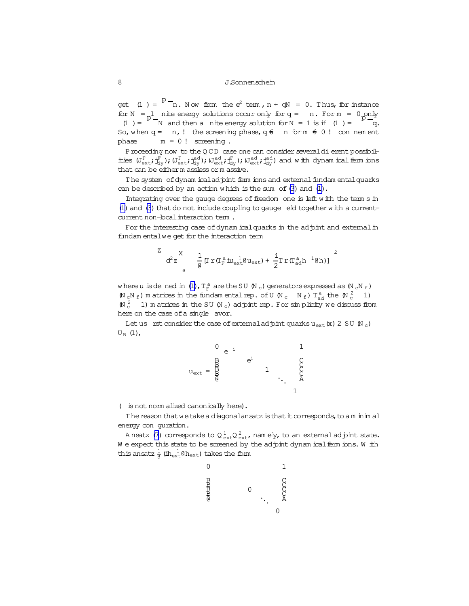get (1) =  $P - n$ . Now from the  $e^2$  term,  $n + qN = 0$ . Thus, for instance for  $N = 1$  nite energy solutions occur only for  $q = n$ . For  $m = 0$  only  $(1) = p - N$  and then a nite energy solution for  $N = 1$  is if  $(1) = p - q$ . So, when  $q = n$ , ! the screening phase,  $q \notin n$  for  $m \notin 0$  ! con nem ent phase  $m = 0!$  screening.

Proceeding now to the QCD case one can consider severaldierent possibilities  $(J_{ext}^F; j_{dy}^F);(J_{ext}^F; j_{dy}^{ad});(J_{ext}^{ad}; j_{dy}^{ad};j_{dy}^{ad}; j_{dy}^{ad})$  and with dynam ical ferm ions that can be either m assless orm assive.

The system of dynam icalad pint ferm ions and external fundam ental quarks can be described by an action w hich is the sum of[\(3](#page-2-0)) and [\(1\)](#page-2-0).

Integrating over the gauge degrees of freedom one is left with the term s in  $(1)$  and  $(3)$  that do not include coupling to gauge eld together with a currentcurrent non-local interaction term.

For the interesting case of dynam ical quarks in the adjoint and external in fundam entalwe get for the interaction term

$$
\frac{z}{d^2z} \sum_{a}^{X} \frac{1}{\varrho} [\Gamma \, r \, (\Gamma_F^{a} \, \text{i} u_{\text{ext}}^{-1} \varrho u_{\text{ext}}) + \frac{1}{2} \text{Tr} \, (\Gamma_{\text{ad}}^{a} h^{-1} \varrho h)]
$$

where u is de ned in [\(1\)](#page-2-0),  $T_F^a$  are the SU  $\%$  c) generators expressed as  $\%$  c $\%$  f)  $(\mathbb{N}_c\mathbb{N}_f)$  m atrices in the fundam ental rep. of U  $(\mathbb{N}_c\ \mathbb{N}_f)$   $T^a_{ad}$  the  $(\mathbb{N}_c^2\ \mathbb{1})$  $(N_c^2 - 1)$  m atrices in the SU  $(N_c)$  adjoint rep. For simplicity we discuss from here on the case of a single avor.

Let us rst consider the case of external adjoint quarks u<sub>ext</sub> (x) 2 SU (N<sub>c</sub>)  $U_B$  (1),



( is not norm alized canonically here).

The reason that we take a diagonalansatz is that it corresponds, to a m inim al energy con guration.

Ansatz [\(7\)](#page-6-0) corresponds to  $\mathsf{Q}^{\,1}_{\,\mathrm{ext}}\mathsf{Q}^{\,2}_{\,\mathrm{ext}}$ , namely, to an externaladjoint state. W e expect this state to be screened by the adjoint dynam ical ferm ions. W ith this ansatz  $\frac{1}{e}$  (ih<sub>ext</sub> $0$  h<sub>ext</sub>) takes the form

0 B B B B @ 0 ... 0 1 C C C C A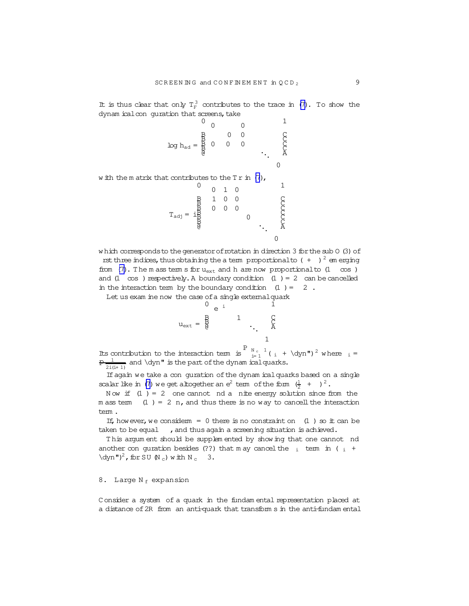It is thus clear that only  $T_F^3$  contributes to the trace in [\(7\)](#page-6-0). To show the dynam icalcon guration that screens, take

$$
\log h_{\text{ad}} = \frac{B}{B} \begin{bmatrix} 0 & 0 & 1 \\ 0 & 0 & 0 \\ 0 & 0 & 0 \\ 0 & 0 & 0 \end{bmatrix} \begin{matrix} 1 \\ 0 \\ 0 \\ 0 \end{matrix}
$$

w ith the m atrix that contributes to the  $Tr$  in  $(7)$ ,

$$
T_{\text{adj}} = \begin{matrix} 0 & 0 & 1 & 0 & & & 1 \\ \frac{B}{2} & 1 & 0 & 0 & & & & 0 \\ \frac{B}{2} & 0 & 0 & 0 & & & & 0 \\ \frac{B}{2} & 0 & 0 & & & & 0 \\ \frac{B}{2} & & & & & 0 & & \ddots \\ 0 & & & & & & & 0 \end{matrix}
$$

which corresponds to the generator of rotation in direction 3 for the sub 0 (3) of

rst three indices, thus obtaining the a term proportional to  $( + )^2$  em erging from  $(7)$ . The m ass term s for  $u_{ext}$  and h are now proportionalto  $(1 - \cos)$ and  $(1 \cos)$  respectively. A boundary condition  $(1) = 2$  can be cancelled in the interaction term by the boundary condition  $(1) = 2$ .

Let us exam ine now the case of a single external quark

$$
u_{ext} = \begin{matrix} 0 & e^{-i} & 1 \\ 0 & 1 & 1 \\ 0 & 0 & 0 \\ 0 & 0 & 0 \\ 0 & 0 & 1 \end{matrix}
$$

Its contribution to the interaction term is  $\int_{i=1}^{P} \int_{i=1}^{N_c} (i + \deta)^2$  where  $i =$  $p\frac{1}{2i(i+1)}$  and \dyn" is the part of the dynam ical quarks.

If again we take a con quration of the dynam ical quarks based on a single scalar like in [\(7\)](#page-6-0) we get altogether an  $e^2$  term of the form  $(\frac{1}{2} + )^2$ .

Now if  $(1) = 2$  one cannot nd a nite energy solution since from the m ass term  $(1) = 2$  n, and thus there is no way to cancell the interaction tem.

If, however, we considerm = 0 there is no constraint on  $(1)$  so it can be taken to be equal , and thus again a screening situation is achieved.

This argum ent should be supplem ented by show ing that one cannot nd another con quration besides (??) that m ay cancel the  $\frac{1}{1}$  term in (  $\frac{1}{1}$  +  $\dagger$ dyn")<sup>2</sup>, for SU (N<sub>c</sub>) w ith N<sub>c</sub> 3.

### 8. Large  $N_f$  expansion

C onsider a system of a quark in the fundam ental representation placed at a distance of2R from an anti-quark that transform s in the anti-fundam ental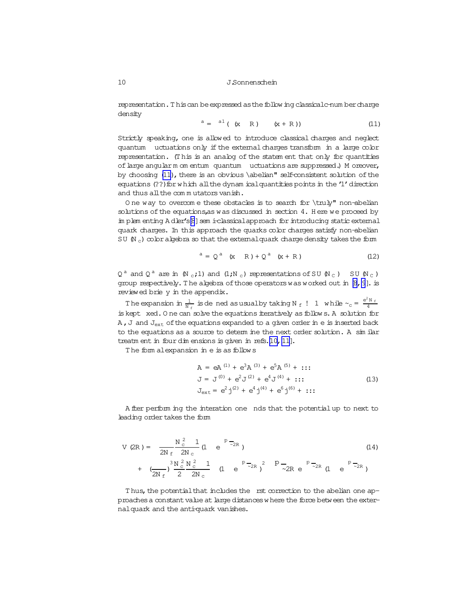representation. This can be expressed as the follow ing classical c-num ber charge density

$$
a = a^{1} (x R) (x + R)
$$
 (11)

Strictly speaking, one is allowed to introduce classical charges and neglect quantum uctuations only if the external charges transform in a large color representation. (This is an analog of the statement that only for quantities of large angular m om entum quantum uctuations are suppressed.) M oreover, by choosing (11), there is an obvious \abelian" self-consistent solution of the equations (??) for which all the dynam ical quantities points in the '1' direction and thus all the commutators vanish.

One way to overcome these obstacles is to search for \truly" non-abelian solutions of the equations, as was discussed in section 4. Here we proceed by implementing Adler's[8] sem i-classical approach for introducing static external quark charges. In this approach the quarks color charges satisfy non-abelian SU  $(N_c)$  color algebra so that the external quark charge density takes the form

$$
a = Qa (x R) + Qa (x + R)
$$
 (12)

 $Q^a$  and  $Q^a$  are in  $N_c$ ;1) and  $(1;N_c)$  representations of SU  $(N_c)$  SU  $(N_c)$ group respectively. The algebra of those operators was worked out in  $[8, 9]$ . is reviewed brie y in the appendix.

The expansion in  $\frac{1}{N_f}$  is dened as usual by taking N<sub>f</sub> ! 1 while  $\sim_c = \frac{e^2 N_f}{4}$ is kept xed. One can solve the equations iteratively as follows. A solution for A, J and  $J_{ext}$  of the equations expanded to a given order in e is inserted back to the equations as a source to determ ine the next order solution. A sim ilar treatm ent in four dim ensions is given in refs.[10, 11].

The form alexpansion in e is as follows

$$
A = eA^{(1)} + e^{3}A^{(3)} + e^{5}A^{(5)} + \cdots
$$
  
\n
$$
J = J^{(0)} + e^{2}J^{(2)} + e^{4}J^{(4)} + \cdots
$$
  
\n
$$
J_{ext} = e^{2}j^{(2)} + e^{4}j^{(4)} + e^{6}j^{(6)} + \cdots
$$
\n(13)

A fter perform ing the interation one nds that the potential up to next to leading order takes the form

$$
V (2R) = \frac{N_c^2}{2N_f} \frac{1}{2N_c} (1 + e^{-P_{\overline{Z}}R})
$$
\n
$$
+ (\frac{N_c^2}{2N_f})^3 \frac{N_c^2}{2} \frac{N_c^2}{2N_c} (1 + e^{-P_{\overline{Z}}R})^2 \frac{P_{\overline{Z}}}{2R} e^{-P_{\overline{Z}}R} (1 + e^{-P_{\overline{Z}}R})
$$
\n(14)

Thus, the potential that includes the rst correction to the abelian one approaches a constant value at large distances where the force between the externalquark and the anti-quark vanishes.

<span id="page-9-0"></span>10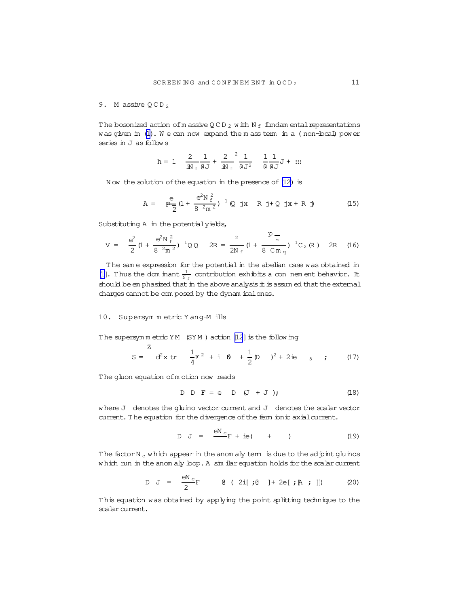#### <span id="page-10-0"></span>9. M assive  $QCD_2$

The bosonized action of m assive QCD<sub>2</sub> with N<sub>f</sub> fundamental representations was given in (1). We can now expand the mass term in a (non-local) power series in J as follows

$$
h = 1 \quad \frac{2}{iN_f} \frac{1}{\theta J} + \frac{2}{iN_f} \frac{1}{\theta J^2} \quad \frac{1}{\theta} \frac{1}{\theta J} + \dots
$$

Now the solution of the equation in the presence of (12) is

$$
A = \frac{e}{\frac{e}{2}} (1 + \frac{e^{2}N \frac{2}{f}}{8 \cdot 2m^{2}})^{-1} (Q \text{ jx} \quad R \text{ j} + Q \text{ jx} + R \text{ j})
$$
(15)

Substituting A in the potential yields,

$$
V = \frac{e^2}{2} (1 + \frac{e^2 N_f^2}{8 \cdot 2m^2})^{-1} Q Q \quad 2R = \frac{2}{2N_f} (1 + \frac{P}{8 \cdot C m_q})^{-1} C_2 (R) \quad 2R \quad (16)
$$

The same expression for the potential in the abelian case was obtained in [1]. Thus the dom mant  $\frac{1}{N_f}$  contribution exhibits a con nem ent behavior. It should be emphasized that in the above analysis it is assum ed that the external charges cannot be com posed by the dynam ical ones.

#### 10. Supersymmetric Yang-Mills

The supersymmetric YM (SYM) action [12] is the following

$$
S = \begin{pmatrix} 2 \\ d^2x \, \text{tr} & \frac{1}{4}F^2 + i \, \beta + \frac{1}{2} \beta \end{pmatrix} + 2i\mathbf{e} \quad 5 \quad ; \qquad (17)
$$

The gluon equation of motion now reads

$$
D D F = e D (J + J); \qquad (18)
$$

where J denotes the gluino vector current and J denotes the scalar vector current. The equation for the divergence of the ferm ionic axial current.

$$
D J = \frac{eN_c}{r} + ie( + )
$$
 (19)

The factor  $N_c$  which appear in the anomaly term is due to the adjoint gluinos which run in the anom aly loop. A sim ilar equation holds for the scalar current

D J = 
$$
\frac{eN_c}{2}F
$$
 Q ( 2i[j;0] ] + 2e[j;A; ]]) (20)

This equation was obtained by applying the point splitting technique to the scalar current.